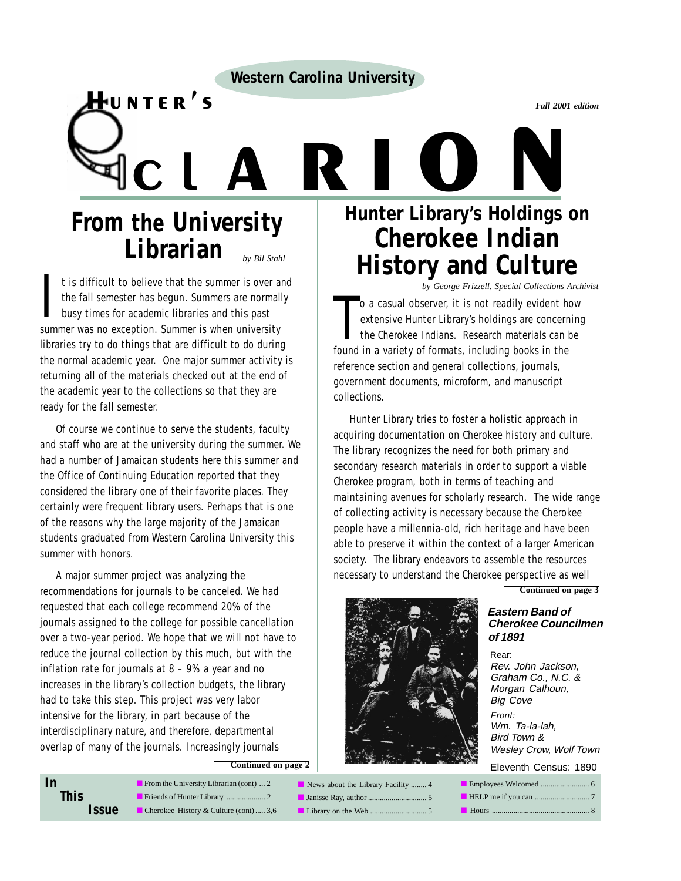**Western Carolina University**

*Fall 2001 edition*

*by Bil Stahl* **From the University Librarian**

Hunter's

It is difficult to believe that the summer is over a<br>the fall semester has begun. Summers are normal<br>busy times for academic libraries and this past<br>summer was no exception. Summer is when university t is difficult to believe that the summer is over and the fall semester has begun. Summers are normally busy times for academic libraries and this past libraries try to do things that are difficult to do during the normal academic year. One major summer activity is returning all of the materials checked out at the end of the academic year to the collections so that they are ready for the fall semester.

Of course we continue to serve the students, faculty and staff who are at the university during the summer. We had a number of Jamaican students here this summer and the Office of Continuing Education reported that they considered the library one of their favorite places. They certainly were frequent library users. Perhaps that is one of the reasons why the large majority of the Jamaican students graduated from Western Carolina University this summer with honors.

A major summer project was analyzing the recommendations for journals to be canceled. We had requested that each college recommend 20% of the journals assigned to the college for possible cancellation over a two-year period. We hope that we will not have to reduce the journal collection by this much, but with the inflation rate for journals at 8 – 9% a year and no increases in the library's collection budgets, the library had to take this step. This project was very labor intensive for the library, in part because of the interdisciplinary nature, and therefore, departmental overlap of many of the journals. Increasingly journals

**Continued on page 2**

| In                  | From the University Librarian (cont) $\dots$ 2        | News about the Library Facility  4 |
|---------------------|-------------------------------------------------------|------------------------------------|
| <b>This</b>         |                                                       |                                    |
| <i><b>Issue</b></i> | $\blacksquare$ Cherokee History & Culture (cont)  3,6 |                                    |

# **Hunter Library's Holdings on Cherokee Indian History and Culture** VER'S<br>
C L A R L Quater Library's Holdings

*by George Frizzell, Special Collections Archivist*

o a casual observer, it is not readily evident h<br>extensive Hunter Library's holdings are concerr<br>the Cherokee Indians. Research materials can<br>found in a variety of formats, including books in the o a casual observer, it is not readily evident how extensive Hunter Library's holdings are concerning the Cherokee Indians. Research materials can be reference section and general collections, journals, government documents, microform, and manuscript collections.

Hunter Library tries to foster a holistic approach in acquiring documentation on Cherokee history and culture. The library recognizes the need for both primary and secondary research materials in order to support a viable Cherokee program, both in terms of teaching and maintaining avenues for scholarly research. The wide range of collecting activity is necessary because the Cherokee people have a millennia-old, rich heritage and have been able to preserve it within the context of a larger American society. The library endeavors to assemble the resources necessary to understand the Cherokee perspective as well



**Continued on page 3**

#### **Eastern Band of Cherokee Councilmen of 1891**

Rear: Rev. John Jackson, Graham Co., N.C. & Morgan Calhoun, Big Cove Front: Wm. Ta-la-lah, Bird Town & Wesley Crow, Wolf Town Eleventh Census: 1890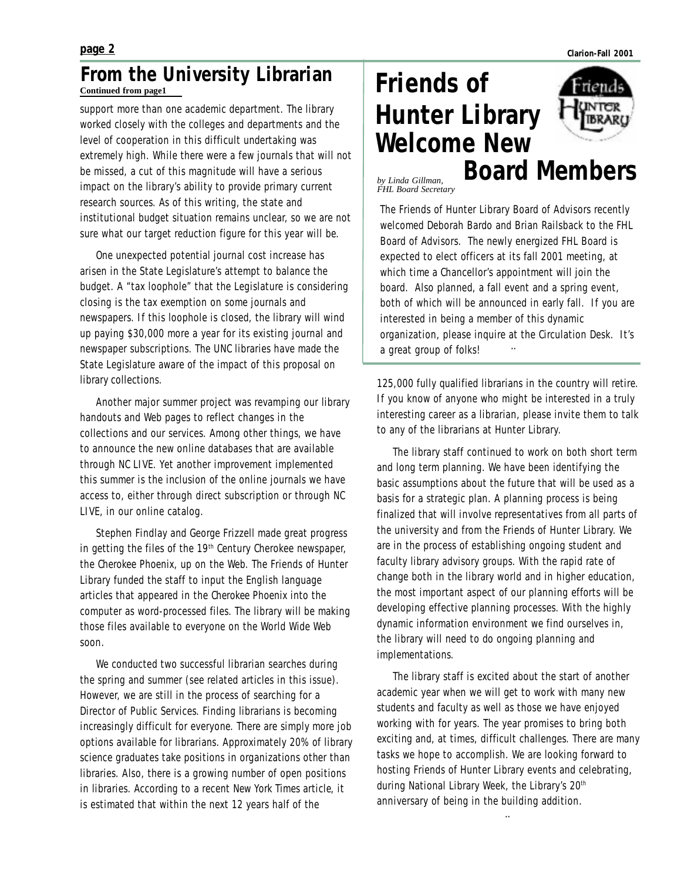#### **page 2**

#### **Continued from page1 From the University Librarian**

support more than one academic department. The library worked closely with the colleges and departments and the level of cooperation in this difficult undertaking was extremely high. While there were a few journals that will not be missed, a cut of this magnitude will have a serious impact on the library's ability to provide primary current research sources. As of this writing, the state and institutional budget situation remains unclear, so we are not sure what our target reduction figure for this year will be.

One unexpected potential journal cost increase has arisen in the State Legislature's attempt to balance the budget. A "tax loophole" that the Legislature is considering closing is the tax exemption on some journals and newspapers. If this loophole is closed, the library will wind up paying \$30,000 more a year for its existing journal and newspaper subscriptions. The UNC libraries have made the State Legislature aware of the impact of this proposal on library collections.

Another major summer project was revamping our library handouts and Web pages to reflect changes in the collections and our services. Among other things, we have to announce the new online databases that are available through NC LIVE. Yet another improvement implemented this summer is the inclusion of the online journals we have access to, either through direct subscription or through NC LIVE, in our online catalog.

Stephen Findlay and George Frizzell made great progress in getting the files of the  $19<sup>th</sup>$  Century Cherokee newspaper, the *Cherokee Phoenix*, up on the Web. The Friends of Hunter Library funded the staff to input the English language articles that appeared in the *Cherokee Phoenix* into the computer as word-processed files. The library will be making those files available to everyone on the World Wide Web soon.

We conducted two successful librarian searches during the spring and summer (see related articles in this issue). However, we are still in the process of searching for a Director of Public Services. Finding librarians is becoming increasingly difficult for everyone. There are simply more job options available for librarians. Approximately 20% of library science graduates take positions in organizations other than libraries. Also, there is a growing number of open positions in libraries. According to a recent *New York Times* article, it is estimated that within the next 12 years half of the

# **Friends of Hunter Library Welcome New**



**Board Members**

*by Linda Gillman, FHL Board Secretary*

¨ The Friends of Hunter Library Board of Advisors recently welcomed Deborah Bardo and Brian Railsback to the FHL Board of Advisors. The newly energized FHL Board is expected to elect officers at its fall 2001 meeting, at which time a Chancellor's appointment will join the board. Also planned, a fall event and a spring event, both of which will be announced in early fall. If you are interested in being a member of this dynamic organization, please inquire at the Circulation Desk. It's a great group of folks!

125,000 fully qualified librarians in the country will retire. If you know of anyone who might be interested in a truly interesting career as a librarian, please invite them to talk to any of the librarians at Hunter Library.

The library staff continued to work on both short term and long term planning. We have been identifying the basic assumptions about the future that will be used as a basis for a strategic plan. A planning process is being finalized that will involve representatives from all parts of the university and from the Friends of Hunter Library. We are in the process of establishing ongoing student and faculty library advisory groups. With the rapid rate of change both in the library world and in higher education, the most important aspect of our planning efforts will be developing effective planning processes. With the highly dynamic information environment we find ourselves in, the library will need to do ongoing planning and implementations.

The library staff is excited about the start of another academic year when we will get to work with many new students and faculty as well as those we have enjoyed working with for years. The year promises to bring both exciting and, at times, difficult challenges. There are many tasks we hope to accomplish. We are looking forward to hosting Friends of Hunter Library events and celebrating, during National Library Week, the Library's 20<sup>th</sup> anniversary of being in the building addition.

¨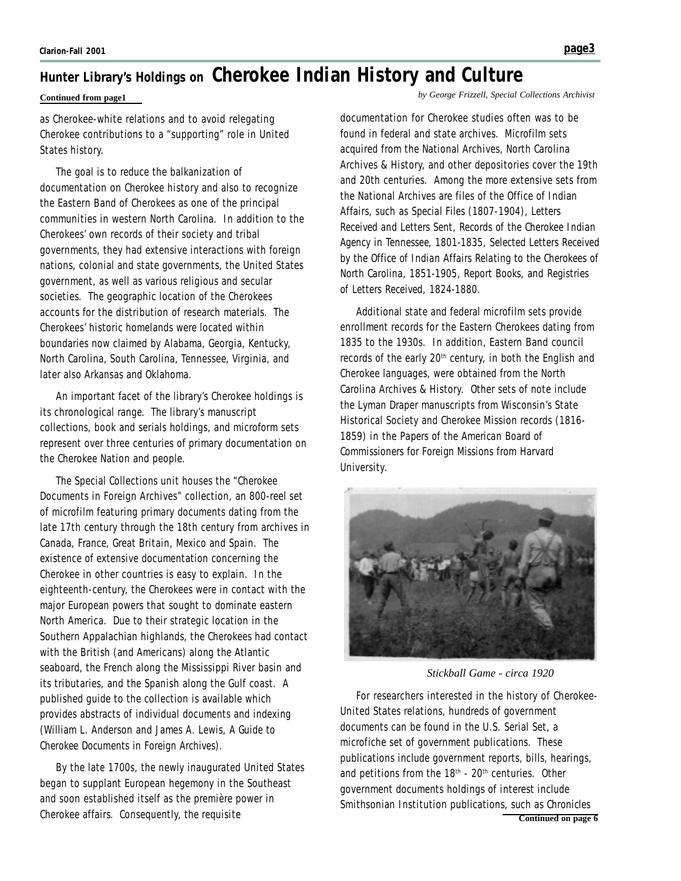### **Hunter Library's Holdings on Cherokee Indian History and Culture**

as Cherokee-white relations and to avoid relegating Cherokee contributions to a "supporting" role in United States history.

The goal is to reduce the balkanization of documentation on Cherokee history and also to recognize the Eastern Band of Cherokees as one of the principal communities in western North Carolina. In addition to the Cherokees' own records of their society and tribal governments, they had extensive interactions with foreign nations, colonial and state governments, the United States government, as well as various religious and secular societies. The geographic location of the Cherokees accounts for the distribution of research materials. The Cherokees' historic homelands were located within boundaries now claimed by Alabama, Georgia, Kentucky, North Carolina, South Carolina, Tennessee, Virginia, and later also Arkansas and Oklahoma.

An important facet of the library's Cherokee holdings is its chronological range. The library's manuscript collections, book and serials holdings, and microform sets represent over three centuries of primary documentation on the Cherokee Nation and people.

The Special Collections unit houses the "Cherokee Documents in Foreign Archives" collection, an 800-reel set of microfilm featuring primary documents dating from the late 17th century through the 18th century from archives in Canada, France, Great Britain, Mexico and Spain. The existence of extensive documentation concerning the Cherokee in other countries is easy to explain. In the eighteenth-century, the Cherokees were in contact with the major European powers that sought to dominate eastern North America. Due to their strategic location in the Southern Appalachian highlands, the Cherokees had contact with the British (and Americans) along the Atlantic seaboard, the French along the Mississippi River basin and its tributaries, and the Spanish along the Gulf coast. A published guide to the collection is available which provides abstracts of individual documents and indexing (William L. Anderson and James A. Lewis, *A Guide to Cherokee Documents in Foreign Archives*).

By the late 1700s, the newly inaugurated United States began to supplant European hegemony in the Southeast and soon established itself as the première power in Cherokee affairs. Consequently, the requisite

**Continued from page1** *by George Frizzell, Special Collections Archivist*

documentation for Cherokee studies often was to be found in federal and state archives. Microfilm sets acquired from the National Archives, North Carolina Archives & History, and other depositories cover the 19th and 20th centuries. Among the more extensive sets from the National Archives are files of the Office of Indian Affairs, such as *Special Files* (1807-1904), *Letters Received* and *Letters Sent*, *Records of the Cherokee Indian Agency in Tennessee, 1801-1835*, *Selected Letters Received by the Office of Indian Affairs Relating to the Cherokees of North Carolina, 1851-1905*, *Report Books*, and *Registries of Letters Received, 1824-1880*.

Additional state and federal microfilm sets provide enrollment records for the Eastern Cherokees dating from 1835 to the 1930s. In addition, Eastern Band council records of the early 20<sup>th</sup> century, in both the English and Cherokee languages, were obtained from the North Carolina Archives & History. Other sets of note include the Lyman Draper manuscripts from Wisconsin's State Historical Society and Cherokee Mission records (1816- 1859) in the *Papers of the American Board of Commissioners for Foreign Missions* from Harvard University.



*Stickball Game - circa 1920*

**Continued on page 6** For researchers interested in the history of Cherokee-United States relations, hundreds of government documents can be found in the U.S. Serial Set, a microfiche set of government publications. These publications include government reports, bills, hearings, and petitions from the  $18<sup>th</sup>$  -  $20<sup>th</sup>$  centuries. Other government documents holdings of interest include Smithsonian Institution publications, such as *Chronicles*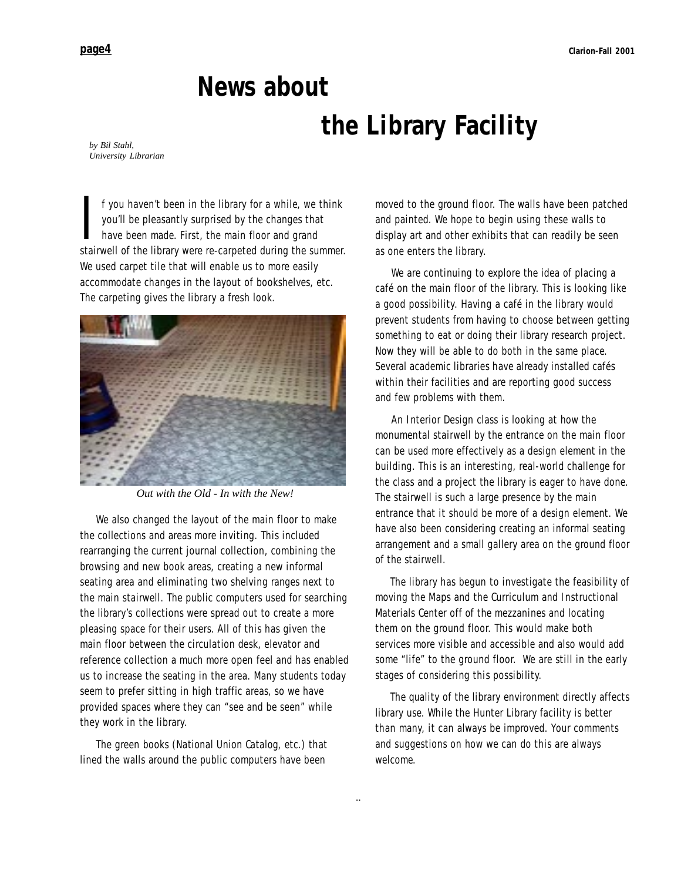# **News about the Library Facility**

*by Bil Stahl, University Librarian*

If you haven't been in the library for a while, we think you'll be pleasantly surprised by the changes that have been made. First, the main floor and grand stairwell of the library were re-carpeted during the summer. f you haven't been in the library for a while, we think you'll be pleasantly surprised by the changes that have been made. First, the main floor and grand We used carpet tile that will enable us to more easily accommodate changes in the layout of bookshelves, etc. The carpeting gives the library a fresh look.



*Out with the Old - In with the New!*

We also changed the layout of the main floor to make the collections and areas more inviting. This included rearranging the current journal collection, combining the browsing and new book areas, creating a new informal seating area and eliminating two shelving ranges next to the main stairwell. The public computers used for searching the library's collections were spread out to create a more pleasing space for their users. All of this has given the main floor between the circulation desk, elevator and reference collection a much more open feel and has enabled us to increase the seating in the area. Many students today seem to prefer sitting in high traffic areas, so we have provided spaces where they can "see and be seen" while they work in the library.

The green books (*National Union Catalog,* etc*.*) that lined the walls around the public computers have been

moved to the ground floor. The walls have been patched and painted. We hope to begin using these walls to display art and other exhibits that can readily be seen as one enters the library.

We are continuing to explore the idea of placing a café on the main floor of the library. This is looking like a good possibility. Having a café in the library would prevent students from having to choose between getting something to eat or doing their library research project. Now they will be able to do both in the same place. Several academic libraries have already installed cafés within their facilities and are reporting good success and few problems with them.

An Interior Design class is looking at how the monumental stairwell by the entrance on the main floor can be used more effectively as a design element in the building. This is an interesting, real-world challenge for the class and a project the library is eager to have done. The stairwell is such a large presence by the main entrance that it should be more of a design element. We have also been considering creating an informal seating arrangement and a small gallery area on the ground floor of the stairwell.

The library has begun to investigate the feasibility of moving the Maps and the Curriculum and Instructional Materials Center off of the mezzanines and locating them on the ground floor. This would make both services more visible and accessible and also would add some "life" to the ground floor. We are still in the early stages of considering this possibility.

The quality of the library environment directly affects library use. While the Hunter Library facility is better than many, it can always be improved. Your comments and suggestions on how we can do this are always welcome.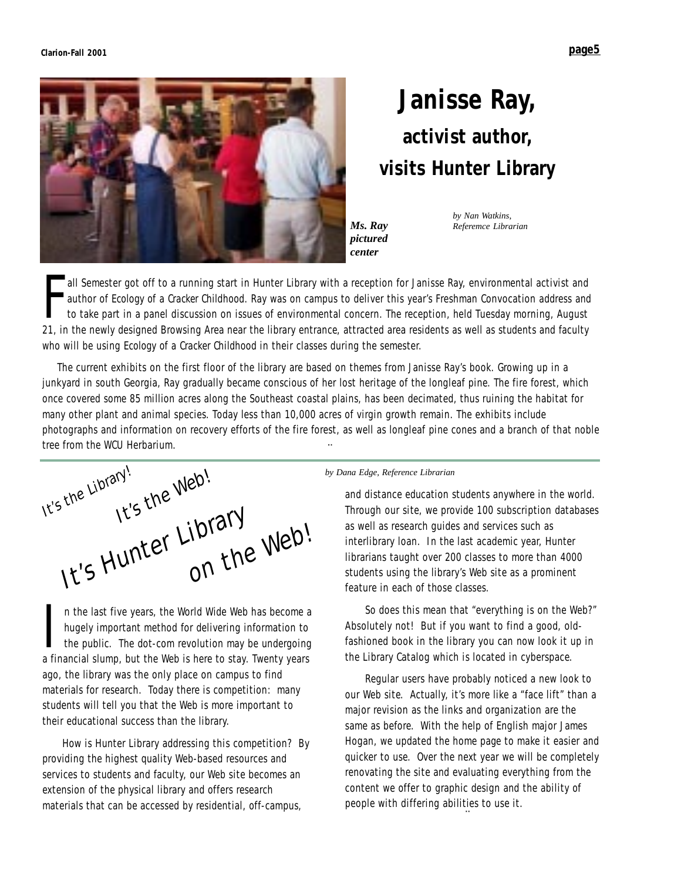

## **Janisse Ray, activist author, visits Hunter Library**

*Ms. Ray pictured center*

*by Nan Watkins, Referemce Librarian*

Fall Semester got off to a running start in Hunter Library with a reception for Janisse Ray, environmental activist and<br>author of *Ecology of a Cracker Childhood*. Ray was on campus to deliver this year's Freshman Convocat all Semester got off to a running start in Hunter Library with a reception for Janisse Ray, environmental activist and author of *Ecology of a Cracker Childhood.* Ray was on campus to deliver this year's Freshman Convocation address and to take part in a panel discussion on issues of environmental concern. The reception, held Tuesday morning, August who will be using *Ecology of a Cracker Childhood* in their classes during the semester.

The current exhibits on the first floor of the library are based on themes from Janisse Ray's book. Growing up in a junkyard in south Georgia, Ray gradually became conscious of her lost heritage of the longleaf pine. The fire forest, which once covered some 85 million acres along the Southeast coastal plains, has been decimated, thus ruining the habitat for many other plant and animal species. Today less than 10,000 acres of virgin growth remain. The exhibits include photographs and information on recovery efforts of the fire forest, as well as longleaf pine cones and a branch of that noble tree from the WCU Herbarium. ¨

It's the Library! It's the Web! It's Hunter Library<br>It's Hunter Library

n the last five years, the World Wide Web has become a<br>hugely important method for delivering information to<br>the public. The dot-com revolution may be undergoing<br>a financial slump but the Web is here to stay. Twenty years hugely important method for delivering information to the public. The dot-com revolution may be undergoing a financial slump, but the Web is here to stay. Twenty years ago, the library was the only place on campus to find materials for research. Today there is competition: many students will tell you that the Web is more important to their educational success than the library.

How is Hunter Library addressing this competition? By providing the highest quality Web-based resources and services to students and faculty, our Web site becomes an extension of the physical library and offers research materials that can be accessed by residential, off-campus,

#### *by Dana Edge, Reference Librarian*

and distance education students anywhere in the world. Through our site, we provide 100 subscription databases as well as research guides and services such as interlibrary loan. In the last academic year, Hunter librarians taught over 200 classes to more than 4000 students using the library's Web site as a prominent feature in each of those classes.

So does this mean that "everything is on the Web?" Absolutely not! But if you want to find a good, oldfashioned book in the library you can now look it up in the Library Catalog which is located in cyberspace.

Regular users have probably noticed a new look to our Web site. Actually, it's more like a "face lift" than a major revision as the links and organization are the same as before. With the help of English major James Hogan, we updated the home page to make it easier and quicker to use. Over the next year we will be completely renovating the site and evaluating everything from the content we offer to graphic design and the ability of people with differing abilities to use it.

¨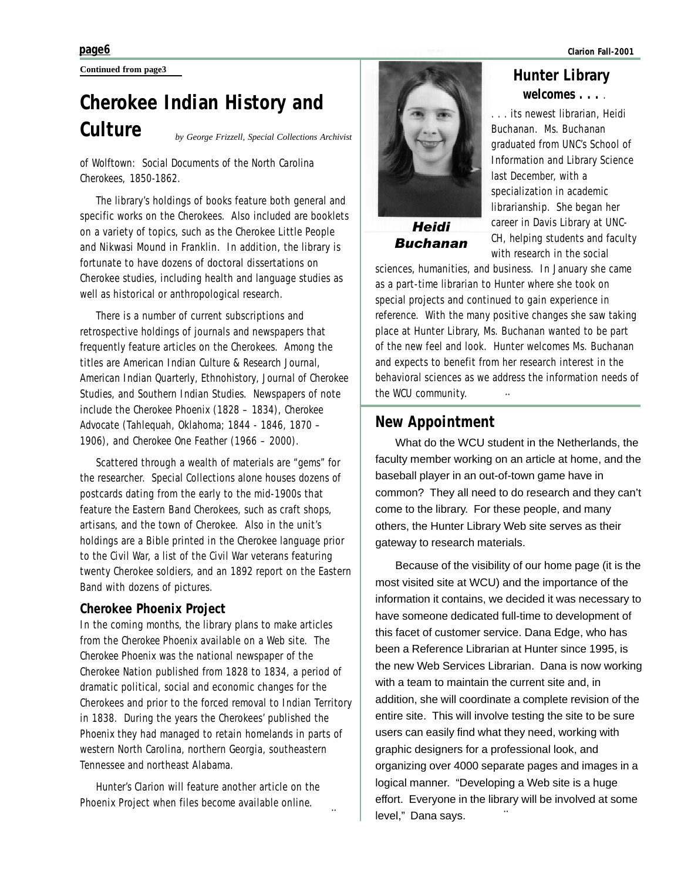**Continued from page3**

### **Cherokee Indian History and Culture** *by George Frizzell, Special Collections Archivist*

#### *of Wolftown: Social Documents of the North Carolina Cherokees, 1850-1862*.

The library's holdings of books feature both general and specific works on the Cherokees. Also included are booklets on a variety of topics, such as the Cherokee Little People and Nikwasi Mound in Franklin. In addition, the library is fortunate to have dozens of doctoral dissertations on Cherokee studies, including health and language studies as well as historical or anthropological research.

There is a number of current subscriptions and retrospective holdings of journals and newspapers that frequently feature articles on the Cherokees. Among the titles are *American Indian Culture & Research Journal*, *American Indian Quarterly*, *Ethnohistory*, *Journal of Cherokee Studies*, and *Southern Indian Studies*. Newspapers of note include the *Cherokee Phoenix* (1828 – 1834), *Cherokee Advocate* (Tahlequah, Oklahoma; 1844 - 1846, 1870 – 1906), and *Cherokee One Feather* (1966 – 2000).

Scattered through a wealth of materials are "gems" for the researcher. Special Collections alone houses dozens of postcards dating from the early to the mid-1900s that feature the Eastern Band Cherokees, such as craft shops, artisans, and the town of Cherokee. Also in the unit's holdings are a Bible printed in the Cherokee language prior to the Civil War, a list of the Civil War veterans featuring twenty Cherokee soldiers, and an 1892 report on the Eastern Band with dozens of pictures.

#### **Cherokee Phoenix Project**

In the coming months, the library plans to make articles from the *Cherokee Phoenix* available on a Web site. The *Cherokee Phoenix* was the national newspaper of the Cherokee Nation published from 1828 to 1834, a period of dramatic political, social and economic changes for the Cherokees and prior to the forced removal to Indian Territory in 1838. During the years the Cherokees' published the *Phoenix* they had managed to retain homelands in parts of western North Carolina, northern Georgia, southeastern Tennessee and northeast Alabama.

*Hunter's Clarion* will feature another article on the Phoenix Project when files become available online.

¨



Buchanan

**Hunter Library** *welcomes . . .* .

. . . its newest librarian, Heidi Buchanan. Ms. Buchanan graduated from UNC's School of Information and Library Science last December, with a specialization in academic librarianship. She began her career in Davis Library at UNC-CH, helping students and faculty with research in the social

sciences, humanities, and business. In January she came as a part-time librarian to Hunter where she took on special projects and continued to gain experience in reference. With the many positive changes she saw taking place at Hunter Library, Ms. Buchanan wanted to be part of the new feel and look. Hunter welcomes Ms. Buchanan and expects to benefit from her research interest in the behavioral sciences as we address the information needs of the WCU community. ¨

#### **New Appointment**

What do the WCU student in the Netherlands, the faculty member working on an article at home, and the baseball player in an out-of-town game have in common? They all need to do research and they can't come to the library. For these people, and many others, the Hunter Library Web site serves as their gateway to research materials.

Because of the visibility of our home page (it is the most visited site at WCU) and the importance of the information it contains, we decided it was necessary to have someone dedicated full-time to development of this facet of customer service. Dana Edge, who has been a Reference Librarian at Hunter since 1995, is the new Web Services Librarian. Dana is now working with a team to maintain the current site and, in addition, she will coordinate a complete revision of the entire site. This will involve testing the site to be sure users can easily find what they need, working with graphic designers for a professional look, and organizing over 4000 separate pages and images in a logical manner. "Developing a Web site is a huge effort. Everyone in the library will be involved at some level," Dana says. ¨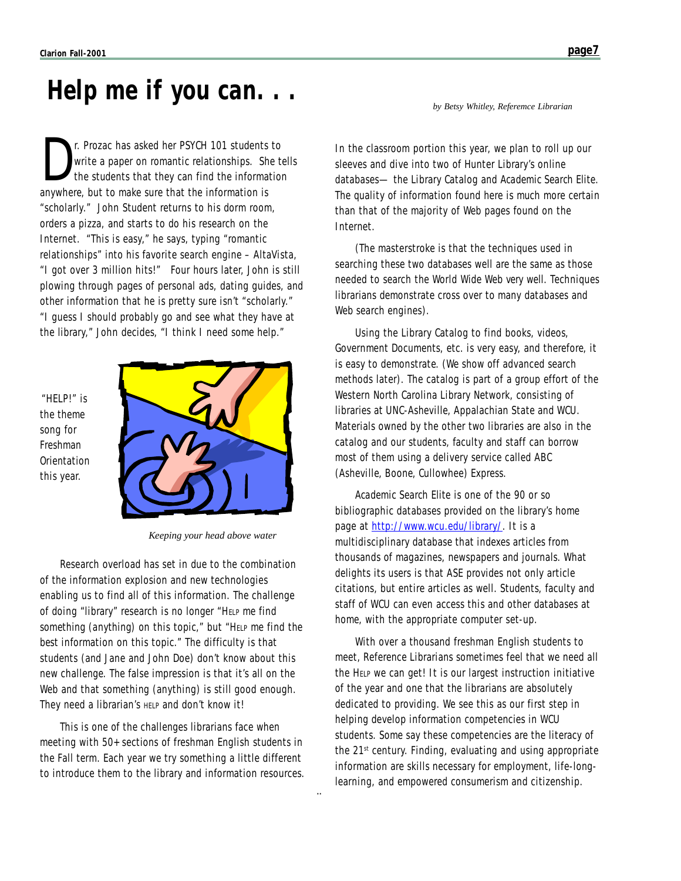### *Help me if you can. . .*

The Prozac has asked her PSYCH 101 students to<br>write a paper on romantic relationships. She to<br>the students that they can find the information is write a paper on romantic relationships. She tells the students that they can find the information anywhere, but to make sure that the information is "scholarly." John Student returns to his dorm room, orders a pizza, and starts to do his research on the Internet. "This is easy," he says, typing "romantic relationships" into his favorite search engine – AltaVista, "I got over 3 million hits!" Four hours later, John is still plowing through pages of personal ads, dating guides, and other information that he is pretty sure isn't "scholarly." "I guess I should probably go and see what they have at the library," John decides, "I think I need some help."

"HELP!" is the theme song for Freshman **Orientation** this year.



*Keeping your head above water*

Research overload has set in due to the combination of the information explosion and new technologies enabling us to find all of this information. The challenge of doing "library" research is no longer "HELP me find *something* (*anything*) on this topic," but "HELP me find the *best* information on this topic." The difficulty is that students (and Jane and John Doe) don't know about this new challenge. The false impression is that it's all on the Web and that something (anything) is still good enough. They need a librarian's HELP and don't know it!

This is one of the challenges librarians face when meeting with 50+ sections of freshman English students in the Fall term. Each year we try something a little different to introduce them to the library and information resources.

¨

*by Betsy Whitley, Referemce Librarian*

In the classroom portion this year, we plan to roll up our sleeves and dive into two of Hunter Library's online databases— the Library Catalog and *Academic Search Elite*. The quality of information found here is much more certain than that of the majority of Web pages found on the Internet.

(The masterstroke is that the techniques used in searching these two databases well are the same as those needed to search the World Wide Web *very well*. Techniques librarians demonstrate cross over to many databases and Web search engines).

Using the Library Catalog to find books, videos, Government Documents, etc. is very easy, and therefore, it is easy to demonstrate. (We show off advanced search methods later). The catalog is part of a group effort of the Western North Carolina Library Network, consisting of libraries at UNC-Asheville, Appalachian State and WCU. Materials owned by the other two libraries are also in the catalog and our students, faculty and staff can borrow most of them using a delivery service called ABC (Asheville, Boone, Cullowhee) Express.

*Academic Search Elite* is one of the 90 or so bibliographic databases provided on the library's home page at http://www.wcu.edu/library/. It is a multidisciplinary database that indexes articles from thousands of magazines, newspapers and journals. What delights its users is that ASE provides not only article citations, but entire articles as well. Students, faculty and staff of WCU can even access this and other databases at home, with the appropriate computer set-up.

With over a thousand freshman English students to meet, Reference Librarians sometimes feel that we need all the HELP we can get! It is our largest instruction initiative of the year and one that the librarians are absolutely dedicated to providing. We see this as our first step in helping develop information competencies in WCU students. Some say these competencies are the literacy of the 21<sup>st</sup> century. Finding, evaluating and using appropriate information are skills necessary for employment, life-longlearning, and empowered consumerism and citizenship.